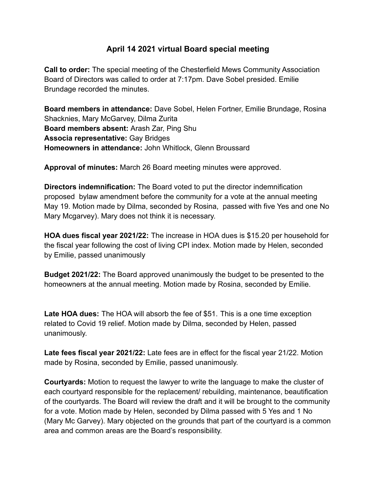## **April 14 2021 virtual Board special meeting**

**Call to order:** The special meeting of the Chesterfield Mews Community Association Board of Directors was called to order at 7:17pm. Dave Sobel presided. Emilie Brundage recorded the minutes.

**Board members in attendance:** Dave Sobel, Helen Fortner, Emilie Brundage, Rosina Shacknies, Mary McGarvey, Dilma Zurita **Board members absent:** Arash Zar, Ping Shu **Associa representative:** Gay Bridges **Homeowners in attendance:** John Whitlock, Glenn Broussard

**Approval of minutes:** March 26 Board meeting minutes were approved.

**Directors indemnification:** The Board voted to put the director indemnification proposed bylaw amendment before the community for a vote at the annual meeting May 19. Motion made by Dilma, seconded by Rosina, passed with five Yes and one No Mary Mcgarvey). Mary does not think it is necessary.

**HOA dues fiscal year 2021/22:** The increase in HOA dues is \$15.20 per household for the fiscal year following the cost of living CPI index. Motion made by Helen, seconded by Emilie, passed unanimously

**Budget 2021/22:** The Board approved unanimously the budget to be presented to the homeowners at the annual meeting. Motion made by Rosina, seconded by Emilie.

**Late HOA dues:** The HOA will absorb the fee of \$51. This is a one time exception related to Covid 19 relief. Motion made by Dilma, seconded by Helen, passed unanimously.

**Late fees fiscal year 2021/22:** Late fees are in effect for the fiscal year 21/22. Motion made by Rosina, seconded by Emilie, passed unanimously.

**Courtyards:** Motion to request the lawyer to write the language to make the cluster of each courtyard responsible for the replacement/ rebuilding, maintenance, beautification of the courtyards. The Board will review the draft and it will be brought to the community for a vote. Motion made by Helen, seconded by Dilma passed with 5 Yes and 1 No (Mary Mc Garvey). Mary objected on the grounds that part of the courtyard is a common area and common areas are the Board's responsibility.